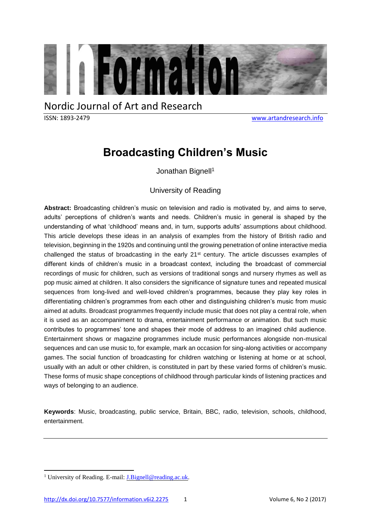

Nordic Journal of Art and Research

ISSN: 1893-2479 [www.artandresearch.info](http://www.artandresearch.info/)

# **Broadcasting Children's Music**

Jonathan Bignell<sup>1</sup>

## University of Reading

**Abstract:** Broadcasting children's music on television and radio is motivated by, and aims to serve, adults' perceptions of children's wants and needs. Children's music in general is shaped by the understanding of what 'childhood' means and, in turn, supports adults' assumptions about childhood. This article develops these ideas in an analysis of examples from the history of British radio and television, beginning in the 1920s and continuing until the growing penetration of online interactive media challenged the status of broadcasting in the early 21<sup>st</sup> century. The article discusses examples of different kinds of children's music in a broadcast context, including the broadcast of commercial recordings of music for children, such as versions of traditional songs and nursery rhymes as well as pop music aimed at children. It also considers the significance of signature tunes and repeated musical sequences from long-lived and well-loved children's programmes, because they play key roles in differentiating children's programmes from each other and distinguishing children's music from music aimed at adults. Broadcast programmes frequently include music that does not play a central role, when it is used as an accompaniment to drama, entertainment performance or animation. But such music contributes to programmes' tone and shapes their mode of address to an imagined child audience. Entertainment shows or magazine programmes include music performances alongside non-musical sequences and can use music to, for example, mark an occasion for sing-along activities or accompany games. The social function of broadcasting for children watching or listening at home or at school, usually with an adult or other children, is constituted in part by these varied forms of children's music. These forms of music shape conceptions of childhood through particular kinds of listening practices and ways of belonging to an audience.

**Keywords**: Music, broadcasting, public service, Britain, BBC, radio, television, schools, childhood, entertainment.

1

<sup>&</sup>lt;sup>1</sup> University of Reading. E-mail: [J.Bignell@reading.ac.uk.](mailto:J.Bignell@reading.ac.uk)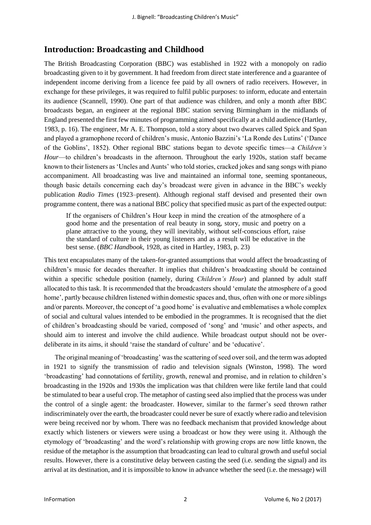#### **Introduction: Broadcasting and Childhood**

The British Broadcasting Corporation (BBC) was established in 1922 with a monopoly on radio broadcasting given to it by government. It had freedom from direct state interference and a guarantee of independent income deriving from a licence fee paid by all owners of radio receivers. However, in exchange for these privileges, it was required to fulfil public purposes: to inform, educate and entertain its audience (Scannell, 1990). One part of that audience was children, and only a month after BBC broadcasts began, an engineer at the regional BBC station serving Birmingham in the midlands of England presented the first few minutes of programming aimed specifically at a child audience (Hartley, 1983, p. 16). The engineer, Mr A. E. Thompson, told a story about two dwarves called Spick and Span and played a gramophone record of children's music, Antonio Bazzini's 'La Ronde des Lutins' ('Dance of the Goblins', 1852). Other regional BBC stations began to devote specific times—a *Children's Hour*—to children's broadcasts in the afternoon. Throughout the early 1920s, station staff became known to their listeners as 'Uncles and Aunts' who told stories, cracked jokes and sang songs with piano accompaniment. All broadcasting was live and maintained an informal tone, seeming spontaneous, though basic details concerning each day's broadcast were given in advance in the BBC's weekly publication *Radio Times* (1923–present). Although regional staff devised and presented their own programme content, there was a national BBC policy that specified music as part of the expected output:

If the organisers of Children's Hour keep in mind the creation of the atmosphere of a good home and the presentation of real beauty in song, story, music and poetry on a plane attractive to the young, they will inevitably, without self-conscious effort, raise the standard of culture in their young listeners and as a result will be educative in the best sense. (*BBC Handbook*, 1928, as cited in Hartley, 1983, p. 23)

This text encapsulates many of the taken-for-granted assumptions that would affect the broadcasting of children's music for decades thereafter. It implies that children's broadcasting should be contained within a specific schedule position (namely, during *Children's Hour*) and planned by adult staff allocated to this task. It is recommended that the broadcasters should 'emulate the atmosphere of a good home', partly because children listened within domestic spaces and, thus, often with one or more siblings and/or parents. Moreover, the concept of 'a good home' is evaluative and emblematises a whole complex of social and cultural values intended to be embodied in the programmes. It is recognised that the diet of children's broadcasting should be varied, composed of 'song' and 'music' and other aspects, and should aim to interest and involve the child audience. While broadcast output should not be overdeliberate in its aims, it should 'raise the standard of culture' and be 'educative'.

The original meaning of 'broadcasting' was the scattering of seed over soil, and the term was adopted in 1921 to signify the transmission of radio and television signals (Winston, 1998). The word 'broadcasting' had connotations of fertility, growth, renewal and promise, and in relation to children's broadcasting in the 1920s and 1930s the implication was that children were like fertile land that could be stimulated to bear a useful crop. The metaphor of casting seed also implied that the process was under the control of a single agent: the broadcaster. However, similar to the farmer's seed thrown rather indiscriminately over the earth, the broadcaster could never be sure of exactly where radio and television were being received nor by whom. There was no feedback mechanism that provided knowledge about exactly which listeners or viewers were using a broadcast or how they were using it. Although the etymology of 'broadcasting' and the word's relationship with growing crops are now little known, the residue of the metaphor is the assumption that broadcasting can lead to cultural growth and useful social results. However, there is a constitutive delay between casting the seed (i.e. sending the signal) and its arrival at its destination, and it is impossible to know in advance whether the seed (i.e. the message) will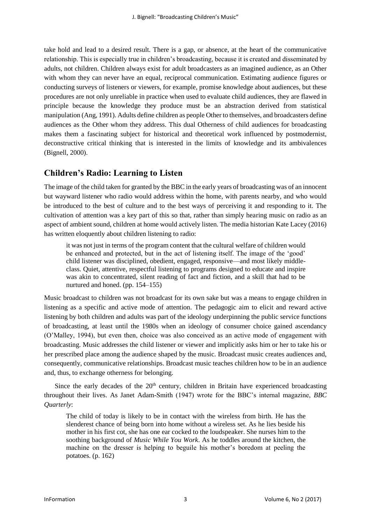take hold and lead to a desired result. There is a gap, or absence, at the heart of the communicative relationship. This is especially true in children's broadcasting, because it is created and disseminated by adults, not children. Children always exist for adult broadcasters as an imagined audience, as an Other with whom they can never have an equal, reciprocal communication. Estimating audience figures or conducting surveys of listeners or viewers, for example, promise knowledge about audiences, but these procedures are not only unreliable in practice when used to evaluate child audiences, they are flawed in principle because the knowledge they produce must be an abstraction derived from statistical manipulation (Ang, 1991). Adults define children as people Other to themselves, and broadcasters define audiences as the Other whom they address. This dual Otherness of child audiences for broadcasting makes them a fascinating subject for historical and theoretical work influenced by postmodernist, deconstructive critical thinking that is interested in the limits of knowledge and its ambivalences (Bignell, 2000).

## **Children's Radio: Learning to Listen**

The image of the child taken for granted by the BBC in the early years of broadcasting was of an innocent but wayward listener who radio would address within the home, with parents nearby, and who would be introduced to the best of culture and to the best ways of perceiving it and responding to it. The cultivation of attention was a key part of this so that, rather than simply hearing music on radio as an aspect of ambient sound, children at home would actively listen. The media historian Kate Lacey (2016) has written eloquently about children listening to radio:

it was not just in terms of the program content that the cultural welfare of children would be enhanced and protected, but in the act of listening itself. The image of the 'good' child listener was disciplined, obedient, engaged, responsive—and most likely middleclass. Quiet, attentive, respectful listening to programs designed to educate and inspire was akin to concentrated, silent reading of fact and fiction, and a skill that had to be nurtured and honed. (pp. 154–155)

Music broadcast to children was not broadcast for its own sake but was a means to engage children in listening as a specific and active mode of attention. The pedagogic aim to elicit and reward active listening by both children and adults was part of the ideology underpinning the public service functions of broadcasting, at least until the 1980s when an ideology of consumer choice gained ascendancy (O'Malley, 1994), but even then, choice was also conceived as an active mode of engagement with broadcasting. Music addresses the child listener or viewer and implicitly asks him or her to take his or her prescribed place among the audience shaped by the music. Broadcast music creates audiences and, consequently, communicative relationships. Broadcast music teaches children how to be in an audience and, thus, to exchange otherness for belonging.

Since the early decades of the  $20<sup>th</sup>$  century, children in Britain have experienced broadcasting throughout their lives. As Janet Adam-Smith (1947) wrote for the BBC's internal magazine, *BBC Quarterly*:

The child of today is likely to be in contact with the wireless from birth. He has the slenderest chance of being born into home without a wireless set. As he lies beside his mother in his first cot, she has one ear cocked to the loudspeaker. She nurses him to the soothing background of *Music While You Work*. As he toddles around the kitchen, the machine on the dresser is helping to beguile his mother's boredom at peeling the potatoes. (p. 162)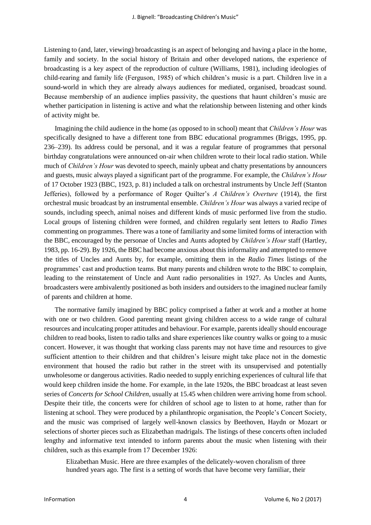Listening to (and, later, viewing) broadcasting is an aspect of belonging and having a place in the home, family and society. In the social history of Britain and other developed nations, the experience of broadcasting is a key aspect of the reproduction of culture (Williams, 1981), including ideologies of child-rearing and family life (Ferguson, 1985) of which children's music is a part. Children live in a sound-world in which they are already always audiences for mediated, organised, broadcast sound. Because membership of an audience implies passivity, the questions that haunt children's music are whether participation in listening is active and what the relationship between listening and other kinds of activity might be.

Imagining the child audience in the home (as opposed to in school) meant that *Children's Hour* was specifically designed to have a different tone from BBC educational programmes (Briggs, 1995, pp. 236–239). Its address could be personal, and it was a regular feature of programmes that personal birthday congratulations were announced on-air when children wrote to their local radio station. While much of *Children's Hour* was devoted to speech, mainly upbeat and chatty presentations by announcers and guests, music always played a significant part of the programme. For example, the *Children's Hour* of 17 October 1923 (BBC, 1923, p. 81) included a talk on orchestral instruments by Uncle Jeff (Stanton Jefferies), followed by a performance of Roger Quilter's *A Children's Overture* (1914), the first orchestral music broadcast by an instrumental ensemble. *Children's Hour* was always a varied recipe of sounds, including speech, animal noises and different kinds of music performed live from the studio. Local groups of listening children were formed, and children regularly sent letters to *Radio Times* commenting on programmes. There was a tone of familiarity and some limited forms of interaction with the BBC, encouraged by the personae of Uncles and Aunts adopted by *Children's Hour* staff (Hartley, 1983, pp. 16-29). By 1926, the BBC had become anxious about this informality and attempted to remove the titles of Uncles and Aunts by, for example, omitting them in the *Radio Times* listings of the programmes' cast and production teams. But many parents and children wrote to the BBC to complain, leading to the reinstatement of Uncle and Aunt radio personalities in 1927. As Uncles and Aunts, broadcasters were ambivalently positioned as both insiders and outsiders to the imagined nuclear family of parents and children at home.

The normative family imagined by BBC policy comprised a father at work and a mother at home with one or two children. Good parenting meant giving children access to a wide range of cultural resources and inculcating proper attitudes and behaviour. For example, parents ideally should encourage children to read books, listen to radio talks and share experiences like country walks or going to a music concert. However, it was thought that working class parents may not have time and resources to give sufficient attention to their children and that children's leisure might take place not in the domestic environment that housed the radio but rather in the street with its unsupervised and potentially unwholesome or dangerous activities. Radio needed to supply enriching experiences of cultural life that would keep children inside the home. For example, in the late 1920s, the BBC broadcast at least seven series of *Concerts for School Children*, usually at 15.45 when children were arriving home from school. Despite their title, the concerts were for children of school age to listen to at home, rather than for listening at school. They were produced by a philanthropic organisation, the People's Concert Society, and the music was comprised of largely well-known classics by Beethoven, Haydn or Mozart or selections of shorter pieces such as Elizabethan madrigals. The listings of these concerts often included lengthy and informative text intended to inform parents about the music when listening with their children, such as this example from 17 December 1926:

Elizabethan Music. Here are three examples of the delicately-woven choralism of three hundred years ago. The first is a setting of words that have become very familiar, their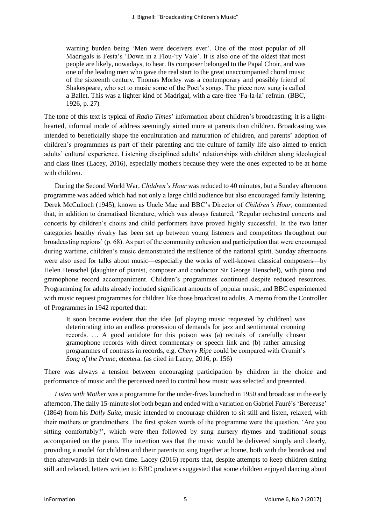warning burden being 'Men were deceivers ever'. One of the most popular of all Madrigals is Festa's 'Down in a Flou-'ry Vale'. It is also one of the oldest that most people are likely, nowadays, to hear. Its composer belonged to the Papal Choir, and was one of the leading men who gave the real start to the great unaccompanied choral music of the sixteenth century. Thomas Morley was a contemporary and possibly friend of Shakespeare, who set to music some of the Poet's songs. The piece now sung is called a Ballet. This was a lighter kind of Madrigal, with a care-free 'Fa-la-la' refrain. (BBC, 1926, p. 27)

The tone of this text is typical of *Radio Times*' information about children's broadcasting; it is a lighthearted, informal mode of address seemingly aimed more at parents than children. Broadcasting was intended to beneficially shape the enculturation and maturation of children, and parents' adoption of children's programmes as part of their parenting and the culture of family life also aimed to enrich adults' cultural experience. Listening disciplined adults' relationships with children along ideological and class lines (Lacey, 2016), especially mothers because they were the ones expected to be at home with children.

During the Second World War, *Children's Hour* was reduced to 40 minutes, but a Sunday afternoon programme was added which had not only a large child audience but also encouraged family listening. Derek McCulloch (1945), known as Uncle Mac and BBC's Director of *Children's Hour*, commented that, in addition to dramatised literature, which was always featured, 'Regular orchestral concerts and concerts by children's choirs and child performers have proved highly successful. In the two latter categories healthy rivalry has been set up between young listeners and competitors throughout our broadcasting regions' (p. 68). As part of the community cohesion and participation that were encouraged during wartime, children's music demonstrated the resilience of the national spirit. Sunday afternoons were also used for talks about music—especially the works of well-known classical composers—by Helen Henschel (daughter of pianist, composer and conductor Sir George Henschel), with piano and gramophone record accompaniment. Children's programmes continued despite reduced resources. Programming for adults already included significant amounts of popular music, and BBC experimented with music request programmes for children like those broadcast to adults. A memo from the Controller of Programmes in 1942 reported that:

It soon became evident that the idea [of playing music requested by children] was deteriorating into an endless procession of demands for jazz and sentimental crooning records. … A good antidote for this poison was (a) recitals of carefully chosen gramophone records with direct commentary or speech link and (b) rather amusing programmes of contrasts in records, e.g. *Cherry Ripe* could be compared with Crumit's *Song of the Prune*, etcetera. (as cited in Lacey, 2016, p. 156)

There was always a tension between encouraging participation by children in the choice and performance of music and the perceived need to control how music was selected and presented.

*Listen with Mother* was a programme for the under-fives launched in 1950 and broadcast in the early afternoon. The daily 15-minute slot both began and ended with a variation on Gabriel Fauré's 'Berceuse' (1864) from his *Dolly Suite*, music intended to encourage children to sit still and listen, relaxed, with their mothers or grandmothers. The first spoken words of the programme were the question, 'Are you sitting comfortably?', which were then followed by sung nursery rhymes and traditional songs accompanied on the piano. The intention was that the music would be delivered simply and clearly, providing a model for children and their parents to sing together at home, both with the broadcast and then afterwards in their own time. Lacey (2016) reports that, despite attempts to keep children sitting still and relaxed, letters written to BBC producers suggested that some children enjoyed dancing about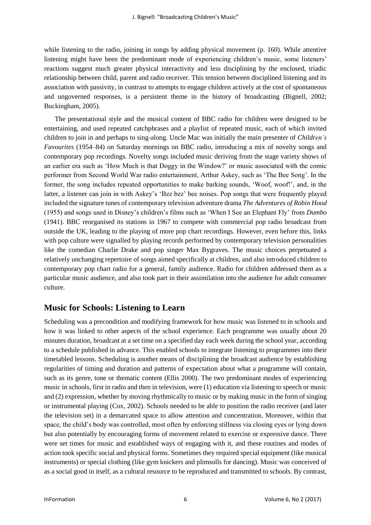while listening to the radio, joining in songs by adding physical movement (p. 160). While attentive listening might have been the predominant mode of experiencing children's music, some listeners' reactions suggest much greater physical interactivity and less disciplining by the enclosed, triadic relationship between child, parent and radio receiver. This tension between disciplined listening and its association with passivity, in contrast to attempts to engage children actively at the cost of spontaneous and ungoverned responses, is a persistent theme in the history of broadcasting (Bignell, 2002; Buckingham, 2005).

The presentational style and the musical content of BBC radio for children were designed to be entertaining, and used repeated catchphrases and a playlist of repeated music, each of which invited children to join in and perhaps to sing-along. Uncle Mac was initially the main presenter of *Children's Favourites* (1954–84) on Saturday mornings on BBC radio, introducing a mix of novelty songs and contemporary pop recordings. Novelty songs included music deriving from the stage variety shows of an earlier era such as 'How Much is that Doggy in the Window?' or music associated with the comic performer from Second World War radio entertainment, Arthur Askey, such as 'The Bee Song'. In the former, the song includes repeated opportunities to make barking sounds, 'Woof, woof!', and, in the latter, a listener can join in with Askey's 'Bzz bzz' bee noises. Pop songs that were frequently played included the signature tunes of contemporary television adventure drama *The Adventures of Robin Hood* (1955) and songs used in Disney's children's films such as 'When I See an Elephant Fly' from *Dumbo* (1941). BBC reorganised its stations in 1967 to compete with commercial pop radio broadcast from outside the UK, leading to the playing of more pop chart recordings. However, even before this, links with pop culture were signalled by playing records performed by contemporary television personalities like the comedian Charlie Drake and pop singer Max Bygraves. The music choices perpetuated a relatively unchanging repertoire of songs aimed specifically at children, and also introduced children to contemporary pop chart radio for a general, family audience. Radio for children addressed them as a particular music audience, and also took part in their assimilation into the audience for adult consumer culture.

#### **Music for Schools: Listening to Learn**

Scheduling was a precondition and modifying framework for how music was listened to in schools and how it was linked to other aspects of the school experience. Each programme was usually about 20 minutes duration, broadcast at a set time on a specified day each week during the school year, according to a schedule published in advance. This enabled schools to integrate listening to programmes into their timetabled lessons. Scheduling is another means of disciplining the broadcast audience by establishing regularities of timing and duration and patterns of expectation about what a programme will contain, such as its genre, tone or thematic content (Ellis 2000). The two predominant modes of experiencing music in schools, first in radio and then in television, were (1) education via listening to speech or music and (2) expression, whether by moving rhythmically to music or by making music in the form of singing or instrumental playing (Cox, 2002). Schools needed to be able to position the radio receiver (and later the television set) in a demarcated space to allow attention and concentration. Moreover, within that space, the child's body was controlled, most often by enforcing stillness via closing eyes or lying down but also potentially by encouraging forms of movement related to exercise or expressive dance. There were set times for music and established ways of engaging with it, and these routines and modes of action took specific social and physical forms. Sometimes they required special equipment (like musical instruments) or special clothing (like gym knickers and plimsolls for dancing). Music was conceived of as a social good in itself, as a cultural resource to be reproduced and transmitted to schools. By contrast,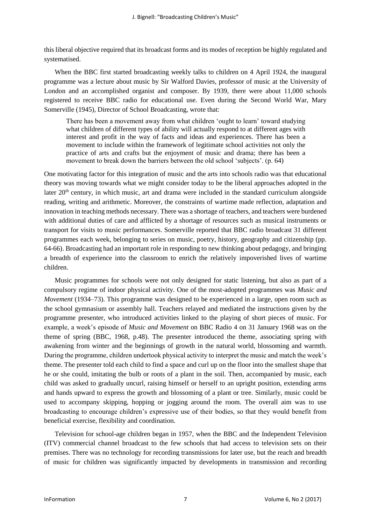this liberal objective required that its broadcast forms and its modes of reception be highly regulated and systematised.

When the BBC first started broadcasting weekly talks to children on 4 April 1924, the inaugural programme was a lecture about music by Sir Walford Davies, professor of music at the University of London and an accomplished organist and composer. By 1939, there were about 11,000 schools registered to receive BBC radio for educational use. Even during the Second World War, Mary Somerville (1945), Director of School Broadcasting, wrote that:

There has been a movement away from what children 'ought to learn' toward studying what children of different types of ability will actually respond to at different ages with interest and profit in the way of facts and ideas and experiences. There has been a movement to include within the framework of legitimate school activities not only the practice of arts and crafts but the enjoyment of music and drama; there has been a movement to break down the barriers between the old school 'subjects'. (p. 64)

One motivating factor for this integration of music and the arts into schools radio was that educational theory was moving towards what we might consider today to be the liberal approaches adopted in the later 20<sup>th</sup> century, in which music, art and drama were included in the standard curriculum alongside reading, writing and arithmetic. Moreover, the constraints of wartime made reflection, adaptation and innovation in teaching methods necessary. There was a shortage of teachers, and teachers were burdened with additional duties of care and afflicted by a shortage of resources such as musical instruments or transport for visits to music performances. Somerville reported that BBC radio broadcast 31 different programmes each week, belonging to series on music, poetry, history, geography and citizenship (pp. 64-66). Broadcasting had an important role in responding to new thinking about pedagogy, and bringing a breadth of experience into the classroom to enrich the relatively impoverished lives of wartime children.

Music programmes for schools were not only designed for static listening, but also as part of a compulsory regime of indoor physical activity. One of the most-adopted programmes was *Music and Movement* (1934–73). This programme was designed to be experienced in a large, open room such as the school gymnasium or assembly hall. Teachers relayed and mediated the instructions given by the programme presenter, who introduced activities linked to the playing of short pieces of music. For example, a week's episode of *Music and Movement* on BBC Radio 4 on 31 January 1968 was on the theme of spring (BBC, 1968, p.48). The presenter introduced the theme, associating spring with awakening from winter and the beginnings of growth in the natural world, blossoming and warmth. During the programme, children undertook physical activity to interpret the music and match the week's theme. The presenter told each child to find a space and curl up on the floor into the smallest shape that he or she could, imitating the bulb or roots of a plant in the soil. Then, accompanied by music, each child was asked to gradually uncurl, raising himself or herself to an upright position, extending arms and hands upward to express the growth and blossoming of a plant or tree. Similarly, music could be used to accompany skipping, hopping or jogging around the room. The overall aim was to use broadcasting to encourage children's expressive use of their bodies, so that they would benefit from beneficial exercise, flexibility and coordination.

Television for school-age children began in 1957, when the BBC and the Independent Television (ITV) commercial channel broadcast to the few schools that had access to television sets on their premises. There was no technology for recording transmissions for later use, but the reach and breadth of music for children was significantly impacted by developments in transmission and recording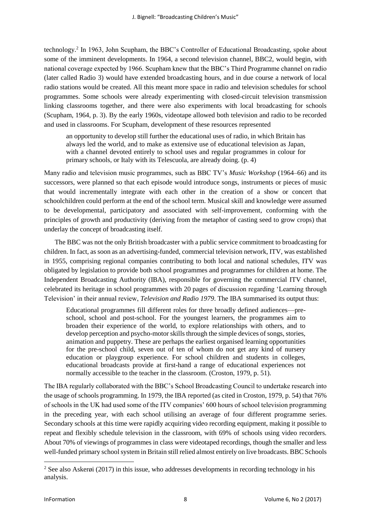technology.<sup>2</sup> In 1963, John Scupham, the BBC's Controller of Educational Broadcasting, spoke about some of the imminent developments. In 1964, a second television channel, BBC2, would begin, with national coverage expected by 1966. Scupham knew that the BBC's Third Programme channel on radio (later called Radio 3) would have extended broadcasting hours, and in due course a network of local radio stations would be created. All this meant more space in radio and television schedules for school programmes. Some schools were already experimenting with closed-circuit television transmission linking classrooms together, and there were also experiments with local broadcasting for schools (Scupham, 1964, p. 3). By the early 1960s, videotape allowed both television and radio to be recorded and used in classrooms. For Scupham, development of these resources represented

an opportunity to develop still further the educational uses of radio, in which Britain has always led the world, and to make as extensive use of educational television as Japan, with a channel devoted entirely to school uses and regular programmes in colour for primary schools, or Italy with its Telescuola, are already doing. (p. 4)

Many radio and television music programmes, such as BBC TV's *Music Workshop* (1964–66) and its successors, were planned so that each episode would introduce songs, instruments or pieces of music that would incrementally integrate with each other in the creation of a show or concert that schoolchildren could perform at the end of the school term. Musical skill and knowledge were assumed to be developmental, participatory and associated with self-improvement, conforming with the principles of growth and productivity (deriving from the metaphor of casting seed to grow crops) that underlay the concept of broadcasting itself.

The BBC was not the only British broadcaster with a public service commitment to broadcasting for children. In fact, as soon as an advertising-funded, commercial television network, ITV, was established in 1955, comprising regional companies contributing to both local and national schedules, ITV was obligated by legislation to provide both school programmes and programmes for children at home. The Independent Broadcasting Authority (IBA), responsible for governing the commercial ITV channel, celebrated its heritage in school programmes with 20 pages of discussion regarding 'Learning through Television' in their annual review, *Television and Radio 1979*. The IBA summarised its output thus:

Educational programmes fill different roles for three broadly defined audiences—preschool, school and post-school. For the youngest learners, the programmes aim to broaden their experience of the world, to explore relationships with others, and to develop perception and psycho-motor skills through the simple devices of songs, stories, animation and puppetry. These are perhaps the earliest organised learning opportunities for the pre-school child, seven out of ten of whom do not get any kind of nursery education or playgroup experience. For school children and students in colleges, educational broadcasts provide at first-hand a range of educational experiences not normally accessible to the teacher in the classroom. (Croston, 1979, p. 51).

The IBA regularly collaborated with the BBC's School Broadcasting Council to undertake research into the usage of schools programming. In 1979, the IBA reported (as cited in Croston, 1979, p. 54) that 76% of schools in the UK had used some of the ITV companies' 600 hours of school television programming in the preceding year, with each school utilising an average of four different programme series. Secondary schools at this time were rapidly acquiring video recording equipment, making it possible to repeat and flexibly schedule television in the classroom, with 69% of schools using video recorders. About 70% of viewings of programmes in class were videotaped recordings, though the smaller and less well-funded primary school system in Britain still relied almost entirely on live broadcasts. BBC Schools

1

<sup>&</sup>lt;sup>2</sup> See also Askerøi (2017) in this issue, who addresses developments in recording technology in his analysis.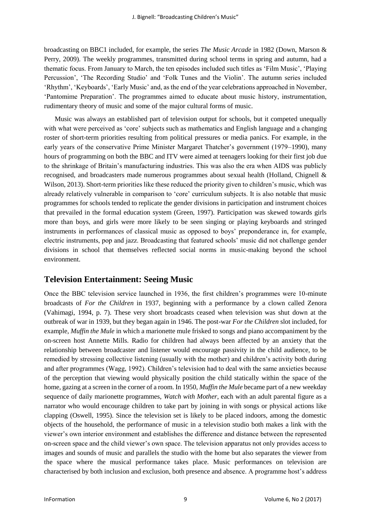broadcasting on BBC1 included, for example, the series *The Music Arcade* in 1982 (Down, Marson & Perry, 2009). The weekly programmes, transmitted during school terms in spring and autumn, had a thematic focus. From January to March, the ten episodes included such titles as 'Film Music', 'Playing Percussion', 'The Recording Studio' and 'Folk Tunes and the Violin'. The autumn series included 'Rhythm', 'Keyboards', 'Early Music' and, as the end of the year celebrations approached in November, 'Pantomime Preparation'. The programmes aimed to educate about music history, instrumentation, rudimentary theory of music and some of the major cultural forms of music.

Music was always an established part of television output for schools, but it competed unequally with what were perceived as 'core' subjects such as mathematics and English language and a changing roster of short-term priorities resulting from political pressures or media panics. For example, in the early years of the conservative Prime Minister Margaret Thatcher's government (1979–1990), many hours of programming on both the BBC and ITV were aimed at teenagers looking for their first job due to the shrinkage of Britain's manufacturing industries. This was also the era when AIDS was publicly recognised, and broadcasters made numerous programmes about sexual health (Holland, Chignell & Wilson, 2013). Short-term priorities like these reduced the priority given to children's music, which was already relatively vulnerable in comparison to 'core' curriculum subjects. It is also notable that music programmes for schools tended to replicate the gender divisions in participation and instrument choices that prevailed in the formal education system (Green, 1997). Participation was skewed towards girls more than boys, and girls were more likely to be seen singing or playing keyboards and stringed instruments in performances of classical music as opposed to boys' preponderance in, for example, electric instruments, pop and jazz. Broadcasting that featured schools' music did not challenge gender divisions in school that themselves reflected social norms in music-making beyond the school environment.

#### **Television Entertainment: Seeing Music**

Once the BBC television service launched in 1936, the first children's programmes were 10-minute broadcasts of *For the Children* in 1937, beginning with a performance by a clown called Zenora (Vahimagi, 1994, p. 7). These very short broadcasts ceased when television was shut down at the outbreak of war in 1939, but they began again in 1946. The post-war *For the Children* slot included, for example, *Muffin the Mule* in which a marionette mule frisked to songs and piano accompaniment by the on-screen host Annette Mills. Radio for children had always been affected by an anxiety that the relationship between broadcaster and listener would encourage passivity in the child audience, to be remedied by stressing collective listening (usually with the mother) and children's activity both during and after programmes (Wagg, 1992). Children's television had to deal with the same anxieties because of the perception that viewing would physically position the child statically within the space of the home, gazing at a screen in the corner of a room. In 1950, *Muffin the Mule* became part of a new weekday sequence of daily marionette programmes, *Watch with Mother*, each with an adult parental figure as a narrator who would encourage children to take part by joining in with songs or physical actions like clapping (Oswell, 1995). Since the television set is likely to be placed indoors, among the domestic objects of the household, the performance of music in a television studio both makes a link with the viewer's own interior environment and establishes the difference and distance between the represented on-screen space and the child viewer's own space. The television apparatus not only provides access to images and sounds of music and parallels the studio with the home but also separates the viewer from the space where the musical performance takes place. Music performances on television are characterised by both inclusion and exclusion, both presence and absence. A programme host's address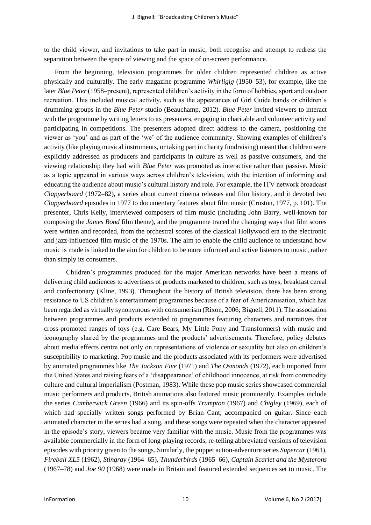to the child viewer, and invitations to take part in music, both recognise and attempt to redress the separation between the space of viewing and the space of on-screen performance.

From the beginning, television programmes for older children represented children as active physically and culturally. The early magazine programme *Whirligig* (1950–53), for example, like the later *Blue Peter* (1958–present), represented children's activity in the form of hobbies, sport and outdoor recreation. This included musical activity, such as the appearances of Girl Guide bands or children's drumming groups in the *Blue Peter* studio (Beauchamp, 2012). *Blue Peter* invited viewers to interact with the programme by writing letters to its presenters, engaging in charitable and volunteer activity and participating in competitions. The presenters adopted direct address to the camera, positioning the viewer as 'you' and as part of the 'we' of the audience community. Showing examples of children's activity (like playing musical instruments, or taking part in charity fundraising) meant that children were explicitly addressed as producers and participants in culture as well as passive consumers, and the viewing relationship they had with *Blue Peter* was promoted as interactive rather than passive. Music as a topic appeared in various ways across children's television, with the intention of informing and educating the audience about music's cultural history and role. For example, the ITV network broadcast *Clapperboard* (1972–82), a series about current cinema releases and film history, and it devoted two *Clapperboard* episodes in 1977 to documentary features about film music (Croston, 1977, p. 101). The presenter, Chris Kelly, interviewed composers of film music (including John Barry, well-known for composing the *James Bond* film theme), and the programme traced the changing ways that film scores were written and recorded, from the orchestral scores of the classical Hollywood era to the electronic and jazz-influenced film music of the 1970s. The aim to enable the child audience to understand how music is made is linked to the aim for children to be more informed and active listeners to music, rather than simply its consumers.

Children's programmes produced for the major American networks have been a means of delivering child audiences to advertisers of products marketed to children, such as toys, breakfast cereal and confectionary (Kline, 1993). Throughout the history of British television, there has been strong resistance to US children's entertainment programmes because of a fear of Americanisation, which has been regarded as virtually synonymous with consumerism (Rixon, 2006; Bignell, 2011). The association between programmes and products extended to programmes featuring characters and narratives that cross-promoted ranges of toys (e.g. Care Bears, My Little Pony and Transformers) with music and iconography shared by the programmes and the products' advertisements. Therefore, policy debates about media effects centre not only on representations of violence or sexuality but also on children's susceptibility to marketing. Pop music and the products associated with its performers were advertised by animated programmes like *The Jackson Five* (1971) and *The Osmonds* (1972), each imported from the United States and raising fears of a 'disappearance' of childhood innocence, at risk from commodity culture and cultural imperialism (Postman, 1983). While these pop music series showcased commercial music performers and products, British animations also featured music prominently. Examples include the series *Camberwick Green* (1966) and its spin-offs *Trumpton* (1967) and *Chigley* (1969), each of which had specially written songs performed by Brian Cant, accompanied on guitar. Since each animated character in the series had a song, and these songs were repeated when the character appeared in the episode's story, viewers became very familiar with the music. Music from the programmes was available commercially in the form of long-playing records, re-telling abbreviated versions of television episodes with priority given to the songs. Similarly, the puppet action-adventure series *Supercar* (1961), *Fireball XL5* (1962), *Stingray* (1964–65), *Thunderbirds* (1965–66), *Captain Scarlet and the Mysterons* (1967–78) and *Joe 90* (1968) were made in Britain and featured extended sequences set to music. The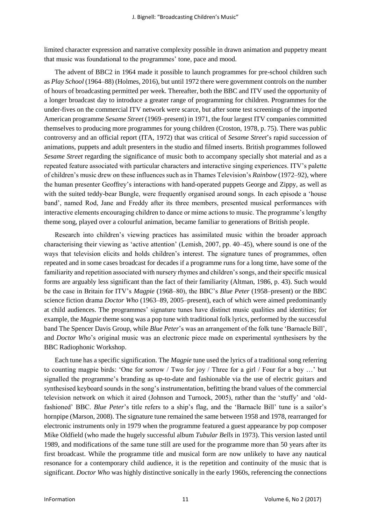limited character expression and narrative complexity possible in drawn animation and puppetry meant that music was foundational to the programmes' tone, pace and mood.

The advent of BBC2 in 1964 made it possible to launch programmes for pre-school children such as *Play School* (1964–88) (Holmes, 2016), but until 1972 there were government controls on the number of hours of broadcasting permitted per week. Thereafter, both the BBC and ITV used the opportunity of a longer broadcast day to introduce a greater range of programming for children. Programmes for the under-fives on the commercial ITV network were scarce, but after some test screenings of the imported American programme *Sesame Street* (1969–present) in 1971, the four largest ITV companies committed themselves to producing more programmes for young children (Croston, 1978, p. 75). There was public controversy and an official report (ITA, 1972) that was critical of *Sesame Street*'s rapid succession of animations, puppets and adult presenters in the studio and filmed inserts. British programmes followed *Sesame Street* regarding the significance of music both to accompany specially shot material and as a repeated feature associated with particular characters and interactive singing experiences. ITV's palette of children's music drew on these influences such as in Thames Television's *Rainbow* (1972–92), where the human presenter Geoffrey's interactions with hand-operated puppets George and Zippy, as well as with the suited teddy-bear Bungle, were frequently organised around songs. In each episode a 'house band', named Rod, Jane and Freddy after its three members, presented musical performances with interactive elements encouraging children to dance or mime actions to music. The programme's lengthy theme song, played over a colourful animation, became familiar to generations of British people.

Research into children's viewing practices has assimilated music within the broader approach characterising their viewing as 'active attention' (Lemish, 2007, pp. 40–45), where sound is one of the ways that television elicits and holds children's interest. The signature tunes of programmes, often repeated and in some cases broadcast for decades if a programme runs for a long time, have some of the familiarity and repetition associated with nursery rhymes and children's songs, and their specific musical forms are arguably less significant than the fact of their familiarity (Altman, 1986, p. 43). Such would be the case in Britain for ITV's *Magpie* (1968–80), the BBC's *Blue Peter* (1958–present) or the BBC science fiction drama *Doctor Who* (1963–89, 2005–present), each of which were aimed predominantly at child audiences. The programmes' signature tunes have distinct music qualities and identities; for example, the *Magpie* theme song was a pop tune with traditional folk lyrics, performed by the successful band The Spencer Davis Group, while *Blue Peter*'s was an arrangement of the folk tune 'Barnacle Bill', and *Doctor Who*'s original music was an electronic piece made on experimental synthesisers by the BBC Radiophonic Workshop.

Each tune has a specific signification. The *Magpie* tune used the lyrics of a traditional song referring to counting magpie birds: 'One for sorrow / Two for joy / Three for a girl / Four for a boy …' but signalled the programme's branding as up-to-date and fashionable via the use of electric guitars and synthesised keyboard sounds in the song's instrumentation, befitting the brand values of the commercial television network on which it aired (Johnson and Turnock, 2005), rather than the 'stuffy' and 'oldfashioned' BBC. *Blue Peter*'s title refers to a ship's flag, and the 'Barnacle Bill' tune is a sailor's hornpipe (Marson, 2008). The signature tune remained the same between 1958 and 1978, rearranged for electronic instruments only in 1979 when the programme featured a guest appearance by pop composer Mike Oldfield (who made the hugely successful album *Tubular Bells* in 1973). This version lasted until 1989, and modifications of the same tune still are used for the programme more than 50 years after its first broadcast. While the programme title and musical form are now unlikely to have any nautical resonance for a contemporary child audience, it is the repetition and continuity of the music that is significant. *Doctor Who* was highly distinctive sonically in the early 1960s, referencing the connections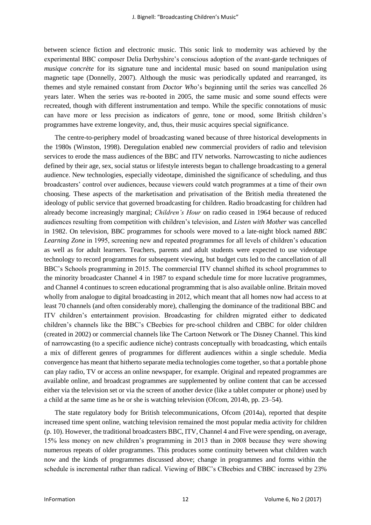between science fiction and electronic music. This sonic link to modernity was achieved by the experimental BBC composer Delia Derbyshire's conscious adoption of the avant-garde techniques of *musique concrète* for its signature tune and incidental music based on sound manipulation using magnetic tape (Donnelly, 2007). Although the music was periodically updated and rearranged, its themes and style remained constant from *Doctor Who*'s beginning until the series was cancelled 26 years later. When the series was re-booted in 2005, the same music and some sound effects were recreated, though with different instrumentation and tempo. While the specific connotations of music can have more or less precision as indicators of genre, tone or mood, some British children's programmes have extreme longevity, and, thus, their music acquires special significance.

The centre-to-periphery model of broadcasting waned because of three historical developments in the 1980s (Winston, 1998). Deregulation enabled new commercial providers of radio and television services to erode the mass audiences of the BBC and ITV networks. Narrowcasting to niche audiences defined by their age, sex, social status or lifestyle interests began to challenge broadcasting to a general audience. New technologies, especially videotape, diminished the significance of scheduling, and thus broadcasters' control over audiences, because viewers could watch programmes at a time of their own choosing. These aspects of the marketisation and privatisation of the British media threatened the ideology of public service that governed broadcasting for children. Radio broadcasting for children had already become increasingly marginal; *Children's Hour* on radio ceased in 1964 because of reduced audiences resulting from competition with children's television, and *Listen with Mother* was cancelled in 1982. On television, BBC programmes for schools were moved to a late-night block named *BBC Learning Zone* in 1995, screening new and repeated programmes for all levels of children's education as well as for adult learners. Teachers, parents and adult students were expected to use videotape technology to record programmes for subsequent viewing, but budget cuts led to the cancellation of all BBC's Schools programming in 2015. The commercial ITV channel shifted its school programmes to the minority broadcaster Channel 4 in 1987 to expand schedule time for more lucrative programmes, and Channel 4 continues to screen educational programming that is also available online. Britain moved wholly from analogue to digital broadcasting in 2012, which meant that all homes now had access to at least 70 channels (and often considerably more), challenging the dominance of the traditional BBC and ITV children's entertainment provision. Broadcasting for children migrated either to dedicated children's channels like the BBC's CBeebies for pre-school children and CBBC for older children (created in 2002) or commercial channels like The Cartoon Network or The Disney Channel. This kind of narrowcasting (to a specific audience niche) contrasts conceptually with broadcasting, which entails a mix of different genres of programmes for different audiences within a single schedule. Media convergence has meant that hitherto separate media technologies come together, so that a portable phone can play radio, TV or access an online newspaper, for example. Original and repeated programmes are available online, and broadcast programmes are supplemented by online content that can be accessed either via the television set or via the screen of another device (like a tablet computer or phone) used by a child at the same time as he or she is watching television (Ofcom, 2014b, pp. 23–54).

The state regulatory body for British telecommunications, Ofcom (2014a), reported that despite increased time spent online, watching television remained the most popular media activity for children (p. 10). However, the traditional broadcasters BBC, ITV, Channel 4 and Five were spending, on average, 15% less money on new children's programming in 2013 than in 2008 because they were showing numerous repeats of older programmes. This produces some continuity between what children watch now and the kinds of programmes discussed above; change in programmes and forms within the schedule is incremental rather than radical. Viewing of BBC's CBeebies and CBBC increased by 23%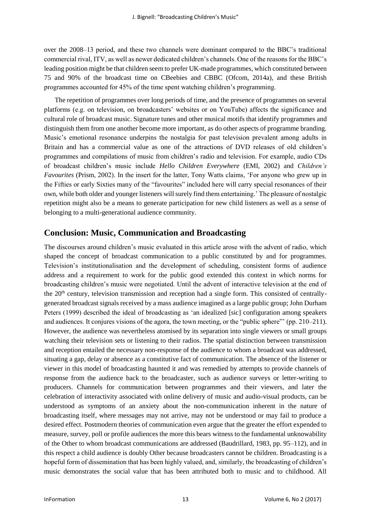over the 2008–13 period, and these two channels were dominant compared to the BBC's traditional commercial rival, ITV, as well as newer dedicated children's channels. One of the reasons for the BBC's leading position might be that children seem to prefer UK-made programmes, which constituted between 75 and 90% of the broadcast time on CBeebies and CBBC (Ofcom, 2014a), and these British programmes accounted for 45% of the time spent watching children's programming.

The repetition of programmes over long periods of time, and the presence of programmes on several platforms (e.g. on television, on broadcasters' websites or on YouTube) affects the significance and cultural role of broadcast music. Signature tunes and other musical motifs that identify programmes and distinguish them from one another become more important, as do other aspects of programme branding. Music's emotional resonance underpins the nostalgia for past television prevalent among adults in Britain and has a commercial value as one of the attractions of DVD releases of old children's programmes and compilations of music from children's radio and television. For example, audio CDs of broadcast children's music include *Hello Children Everywhere* (EMI, 2002) and *Children's Favourites* (Prism, 2002). In the insert for the latter, Tony Watts claims, 'For anyone who grew up in the Fifties or early Sixties many of the "favourites" included here will carry special resonances of their own, while both older and younger listeners will surely find them entertaining.' The pleasure of nostalgic repetition might also be a means to generate participation for new child listeners as well as a sense of belonging to a multi-generational audience community.

#### **Conclusion: Music, Communication and Broadcasting**

The discourses around children's music evaluated in this article arose with the advent of radio, which shaped the concept of broadcast communication to a public constituted by and for programmes. Television's institutionalisation and the development of scheduling, consistent forms of audience address and a requirement to work for the public good extended this context in which norms for broadcasting children's music were negotiated. Until the advent of interactive television at the end of the 20<sup>th</sup> century, television transmission and reception had a single form. This consisted of centrallygenerated broadcast signals received by a mass audience imagined as a large public group; John Durham Peters (1999) described the ideal of broadcasting as 'an idealized [sic] configuration among speakers and audiences. It conjures visions of the agora, the town meeting, or the "public sphere"' (pp. 210–211). However, the audience was nevertheless atomised by its separation into single viewers or small groups watching their television sets or listening to their radios. The spatial distinction between transmission and reception entailed the necessary non-response of the audience to whom a broadcast was addressed, situating a gap, delay or absence as a constitutive fact of communication. The absence of the listener or viewer in this model of broadcasting haunted it and was remedied by attempts to provide channels of response from the audience back to the broadcaster, such as audience surveys or letter-writing to producers. Channels for communication between programmes and their viewers, and later the celebration of interactivity associated with online delivery of music and audio-visual products, can be understood as symptoms of an anxiety about the non-communication inherent in the nature of broadcasting itself, where messages may not arrive, may not be understood or may fail to produce a desired effect. Postmodern theories of communication even argue that the greater the effort expended to measure, survey, poll or profile audiences the more this bears witness to the fundamental unknowability of the Other to whom broadcast communications are addressed (Baudrillard, 1983, pp. 95–112), and in this respect a child audience is doubly Other because broadcasters cannot be children. Broadcasting is a hopeful form of dissemination that has been highly valued, and, similarly, the broadcasting of children's music demonstrates the social value that has been attributed both to music and to childhood. All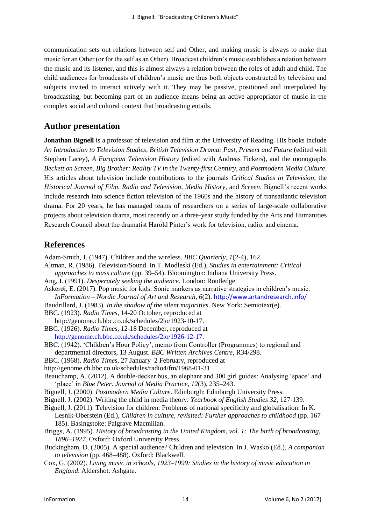communication sets out relations between self and Other, and making music is always to make that music for an Other (or for the self as an Other). Broadcast children's music establishes a relation between the music and its listener, and this is almost always a relation between the roles of adult and child. The child audiences for broadcasts of children's music are thus both objects constructed by television and subjects invited to interact actively with it. They may be passive, positioned and interpolated by broadcasting, but becoming part of an audience means being an active appropriator of music in the complex social and cultural context that broadcasting entails.

## **Author presentation**

**Jonathan Bignell** is a professor of television and film at the University of Reading. His books include *An Introduction to Television Studies*, *British Television Drama: Past, Present and Future* (edited with Stephen Lacey), *A European Television History* (edited with Andreas Fickers), and the monographs *Beckett on Screen*, *Big Brother: Reality TV in the Twenty-first Century*, and *Postmodern Media Culture*. His articles about television include contributions to the journals *Critical Studies in Television*, the *Historical Journal of Film*, *Radio and Television*, *Media History*, and *Screen*. Bignell's recent works include research into science fiction television of the 1960s and the history of transatlantic television drama. For 20 years, he has managed teams of researchers on a series of large-scale collaborative projects about television drama, most recently on a three-year study funded by the Arts and Humanities Research Council about the dramatist Harold Pinter's work for television, radio, and cinema.

### **References**

Adam-Smith, J. (1947). Children and the wireless. *BBC Quarterly, 1*(2-4), 162.

- Altman, R. (1986). Television/Sound. In T. Modleski (Ed.), *Studies in entertainment: Critical approaches to mass culture* (pp. 39–54). Bloomington: Indiana University Press.
- Ang, I. (1991). *Desperately seeking the audience*. London: Routledge.

Askerøi, E. (2017). Pop music for kids: Sonic markers as narrative strategies in children's music. *InFormation – Nordic Journal of Art and Research, 6*(2). [http://www.artandresearch.info/](https://mail.hihm.no/owa/redir.aspx?C=7ymsqc5j4LRtbPLX0uczRfAAdYGrhN7KwCGfVTQGDSf1XLtZhOvUCA..&URL=http%3a%2f%2fwww.artandresearch.info%2f)

Baudrillard, J. (1983). *In the shadow of the silent majorities*. New York: Semiotext(e).

BBC. (1923). *Radio Times*, 14-20 October, reproduced at

http://genome.ch.bbc.co.uk/schedules/2lo/1923-10-17.

BBC. (1926). *Radio Times*, 12-18 December, reproduced at

[http://genome.ch.bbc.co.uk/schedules/2lo/1926-12-17.](http://genome.ch.bbc.co.uk/schedules/2lo/1926-12-17)

- BBC. (1942). 'Children's Hour Policy', memo from Controller (Programmes) to regional and departmental directors, 13 August. *BBC Written Archives Centre*, R34/298.
- BBC. (1968). *Radio Times*, 27 January–2 February, reproduced at
- http://genome.ch.bbc.co.uk/schedules/radio4/fm/1968-01-31
- Beauchamp, A. (2012). A double-decker bus, an elephant and 300 girl guides: Analysing 'space' and 'place' in *Blue Peter*. *Journal of Media Practice*, *12*(3), 235–243.
- Bignell, J. (2000). *Postmodern Media Culture*. Edinburgh: Edinburgh University Press.
- Bignell, J. (2002). Writing the child in media theory. *Yearbook of English Studies 32*, 127-139.
- Bignell, J. (2011). Television for children: Problems of national specificity and globalisation. In K. Lesnik-Oberstein (Ed.), *Children in culture, revisited: Further approaches to childhood* (pp. 167– 185). Basingstoke: Palgrave Macmillan.
- Briggs, A. (1995). *History of broadcasting in the United Kingdom, vol. 1: The birth of broadcasting, 1896–1927*. Oxford: Oxford University Press.
- Buckingham, D. (2005). A special audience? Children and television. In J. Wasko (Ed.), *A companion to television* (pp. 468–488). Oxford: Blackwell.
- Cox, G. (2002). *Living music in schools, 1923–1999: Studies in the history of music education in England*. Aldershot: Ashgate.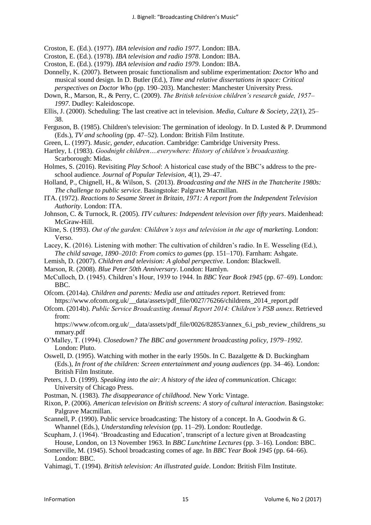Croston, E. (Ed.). (1977). *IBA television and radio 1977*. London: IBA.

Croston, E. (Ed.). (1978). *IBA television and radio 1978*. London: IBA.

Croston, E. (Ed.). (1979). *IBA television and radio 1979*. London: IBA.

- Donnelly, K. (2007). Between prosaic functionalism and sublime experimentation: *Doctor Who* and musical sound design. In D. Butler (Ed.), *Time and relative dissertations in space: Critical perspectives on Doctor Who* (pp. 190–203). Manchester: Manchester University Press.
- Down, R., Marson, R., & Perry, C. (2009). *The British television children's research guide, 1957– 1997*. Dudley: Kaleidoscope.
- Ellis, J. (2000). Scheduling: The last creative act in television. *Media, Culture & Society*, *22*(1), 25– 38.
- Ferguson, B. (1985). Children's television: The germination of ideology. In D. Lusted & P. Drummond (Eds.), *TV and schooling* (pp. 47–52). London: British Film Institute.
- Green, L. (1997). *Music, gender, education*. Cambridge: Cambridge University Press.
- Hartley, I. (1983). *Goodnight children….everywhere: History of children's broadcasting.* Scarborough: Midas.
- Holmes, S. (2016). Revisiting *Play School*: A historical case study of the BBC's address to the preschool audience. *Journal of Popular Television, 4*(1), 29–47.
- Holland, P., Chignell, H., & Wilson, S. (2013). *Broadcasting and the NHS in the Thatcherite 1980s: The challenge to public service*. Basingstoke: Palgrave Macmillan.
- ITA. (1972). *Reactions to Sesame Street in Britain, 1971: A report from the Independent Television Authority*. London: ITA.
- Johnson, C. & Turnock, R. (2005). *ITV cultures: Independent television over fifty years*. Maidenhead: McGraw-Hill.
- Kline, S. (1993). *Out of the garden: Children's toys and television in the age of marketing*. London: Verso.
- Lacey, K. (2016). Listening with mother: The cultivation of children's radio. In E. Wesseling (Ed.), *The child savage, 1890–2010: From comics to games* (pp. 151–170). Farnham: Ashgate.
- Lemish, D. (2007). *Children and television: A global perspective*. London: Blackwell.
- Marson, R. (2008). *Blue Peter 50th Anniversary*. London: Hamlyn.
- McCulloch, D. (1945). Children's Hour, 1939 to 1944. In *BBC Year Book 1945* (pp. 67–69). London: BBC.
- Ofcom. (2014a). *Children and parents: Media use and attitudes report*. Retrieved from: https://www.ofcom.org.uk/\_data/assets/pdf\_file/0027/76266/childrens\_2014\_report.pdf
- Ofcom. (2014b). *Public Service Broadcasting Annual Report 2014: Children's PSB annex*. Retrieved from:

https://www.ofcom.org.uk/\_\_data/assets/pdf\_file/0026/82853/annex\_6.i\_psb\_review\_childrens\_su mmary.pdf

- O'Malley, T. (1994). *Closedown? The BBC and government broadcasting policy, 1979–1992*. London: Pluto.
- Oswell, D. (1995). Watching with mother in the early 1950s. In C. Bazalgette & D. Buckingham (Eds.), *In front of the children: Screen entertainment and young audiences* (pp. 34–46). London: British Film Institute.
- Peters, J. D. (1999). *Speaking into the air: A history of the idea of communication*. Chicago: University of Chicago Press.
- Postman, N. (1983). *The disappearance of childhood*. New York: Vintage.
- Rixon, P. (2006). *American television on British screens: A story of cultural interaction*. Basingstoke: Palgrave Macmillan.
- Scannell, P. (1990). Public service broadcasting: The history of a concept. In A. Goodwin & G. Whannel (Eds.), *Understanding television* (pp. 11–29). London: Routledge.
- Scupham, J. (1964). 'Broadcasting and Education', transcript of a lecture given at Broadcasting House, London, on 13 November 1963. In *BBC Lunchtime Lectures* (pp. 3–16). London: BBC.
- Somerville, M. (1945). School broadcasting comes of age. In *BBC Year Book 1945* (pp. 64–66). London: BBC.
- Vahimagi, T. (1994). *British television: An illustrated guide*. London: British Film Institute.